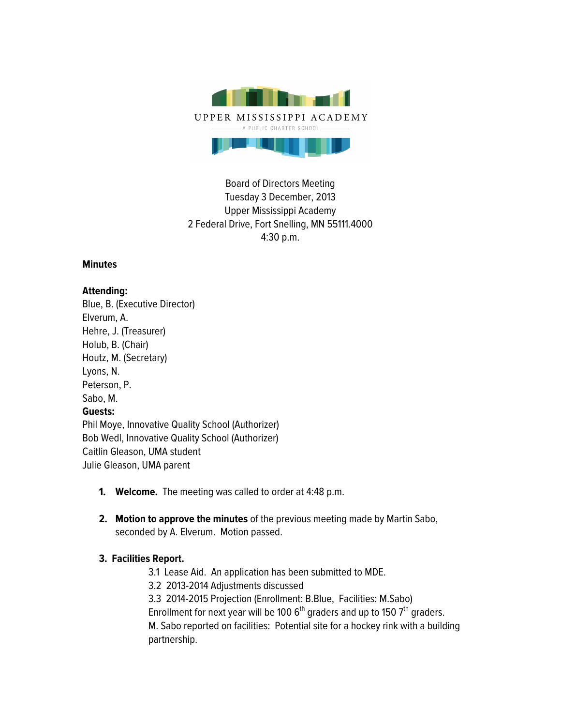

Board of Directors Meeting Tuesday 3 December, 2013 Upper Mississippi Academy 2 Federal Drive, Fort Snelling, MN 55111.4000 4:30 p.m.

### **Minutes**

### **Attending:**

Blue, B. (Executive Director) Elverum, A. Hehre, J. (Treasurer) Holub, B. (Chair) Houtz, M. (Secretary) Lyons, N. Peterson, P. Sabo, M. **Guests:** Phil Moye, Innovative Quality School (Authorizer) Bob Wedl, Innovative Quality School (Authorizer) Caitlin Gleason, UMA student Julie Gleason, UMA parent

- **1. Welcome.** The meeting was called to order at 4:48 p.m.
- **2. Motion to approve the minutes** of the previous meeting made by Martin Sabo, seconded by A. Elverum. Motion passed.

## **3. Facilities Report.**

- 3.1 Lease Aid. An application has been submitted to MDE.
- 3.2 2013-2014 Adjustments discussed
- 3.3 2014-2015 Projection (Enrollment: B.Blue, Facilities: M.Sabo)
- Enrollment for next year will be 100  $6<sup>th</sup>$  graders and up to 150  $7<sup>th</sup>$  graders.
- M. Sabo reported on facilities: Potential site for a hockey rink with a building partnership.